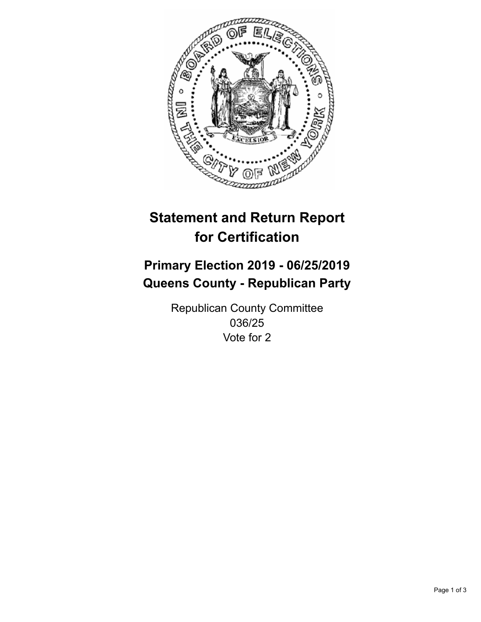

## **Statement and Return Report for Certification**

## **Primary Election 2019 - 06/25/2019 Queens County - Republican Party**

Republican County Committee 036/25 Vote for 2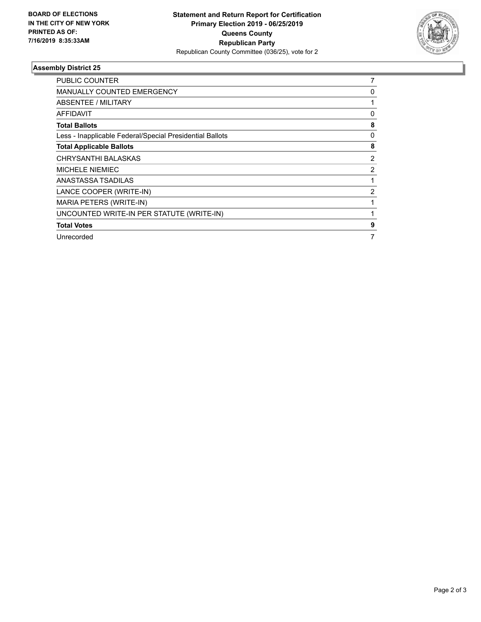

## **Assembly District 25**

| PUBLIC COUNTER                                           | 7              |
|----------------------------------------------------------|----------------|
| <b>MANUALLY COUNTED EMERGENCY</b>                        | 0              |
| ABSENTEE / MILITARY                                      |                |
| <b>AFFIDAVIT</b>                                         | $\Omega$       |
| <b>Total Ballots</b>                                     | 8              |
| Less - Inapplicable Federal/Special Presidential Ballots | 0              |
| <b>Total Applicable Ballots</b>                          | 8              |
| CHRYSANTHI BALASKAS                                      | $\overline{2}$ |
| <b>MICHELE NIEMIEC</b>                                   | 2              |
| ANASTASSA TSADILAS                                       |                |
| LANCE COOPER (WRITE-IN)                                  | 2              |
| MARIA PETERS (WRITE-IN)                                  |                |
| UNCOUNTED WRITE-IN PER STATUTE (WRITE-IN)                |                |
| <b>Total Votes</b>                                       | 9              |
| Unrecorded                                               |                |